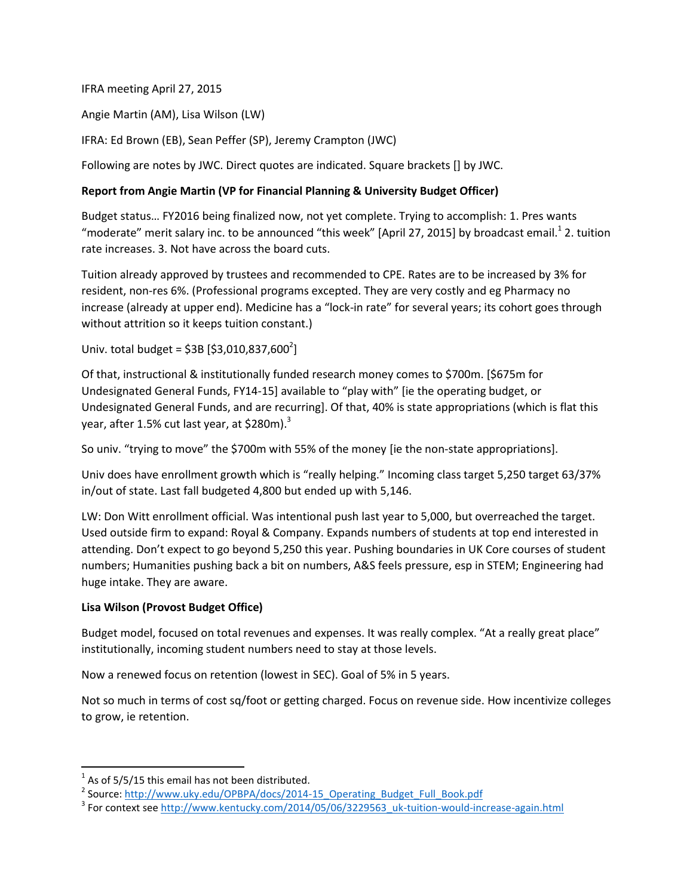IFRA meeting April 27, 2015

Angie Martin (AM), Lisa Wilson (LW)

IFRA: Ed Brown (EB), Sean Peffer (SP), Jeremy Crampton (JWC)

Following are notes by JWC. Direct quotes are indicated. Square brackets [] by JWC.

## **Report from Angie Martin (VP for Financial Planning & University Budget Officer)**

Budget status… FY2016 being finalized now, not yet complete. Trying to accomplish: 1. Pres wants "moderate" merit salary inc. to be announced "this week" [April 27, 2015] by broadcast email.<sup>1</sup> 2. tuition rate increases. 3. Not have across the board cuts.

Tuition already approved by trustees and recommended to CPE. Rates are to be increased by 3% for resident, non-res 6%. (Professional programs excepted. They are very costly and eg Pharmacy no increase (already at upper end). Medicine has a "lock-in rate" for several years; its cohort goes through without attrition so it keeps tuition constant.)

Univ. total budget = \$3B [\$3,010,837,600<sup>2</sup>]

Of that, instructional & institutionally funded research money comes to \$700m. [\$675m for Undesignated General Funds, FY14-15] available to "play with" [ie the operating budget, or Undesignated General Funds, and are recurring]. Of that, 40% is state appropriations (which is flat this year, after 1.5% cut last year, at \$280m). $3$ 

So univ. "trying to move" the \$700m with 55% of the money [ie the non-state appropriations].

Univ does have enrollment growth which is "really helping." Incoming class target 5,250 target 63/37% in/out of state. Last fall budgeted 4,800 but ended up with 5,146.

LW: Don Witt enrollment official. Was intentional push last year to 5,000, but overreached the target. Used outside firm to expand: Royal & Company. Expands numbers of students at top end interested in attending. Don't expect to go beyond 5,250 this year. Pushing boundaries in UK Core courses of student numbers; Humanities pushing back a bit on numbers, A&S feels pressure, esp in STEM; Engineering had huge intake. They are aware.

## **Lisa Wilson (Provost Budget Office)**

Budget model, focused on total revenues and expenses. It was really complex. "At a really great place" institutionally, incoming student numbers need to stay at those levels.

Now a renewed focus on retention (lowest in SEC). Goal of 5% in 5 years.

Not so much in terms of cost sq/foot or getting charged. Focus on revenue side. How incentivize colleges to grow, ie retention.

 $\overline{\phantom{a}}$ 

 $<sup>1</sup>$  As of 5/5/15 this email has not been distributed.</sup>

<sup>&</sup>lt;sup>2</sup> Source: [http://www.uky.edu/OPBPA/docs/2014-15\\_Operating\\_Budget\\_Full\\_Book.pdf](http://www.uky.edu/OPBPA/docs/2014-15_Operating_Budget_Full_Book.pdf)

<sup>&</sup>lt;sup>3</sup> For context see [http://www.kentucky.com/2014/05/06/3229563\\_uk-tuition-would-increase-again.html](http://www.kentucky.com/2014/05/06/3229563_uk-tuition-would-increase-again.html)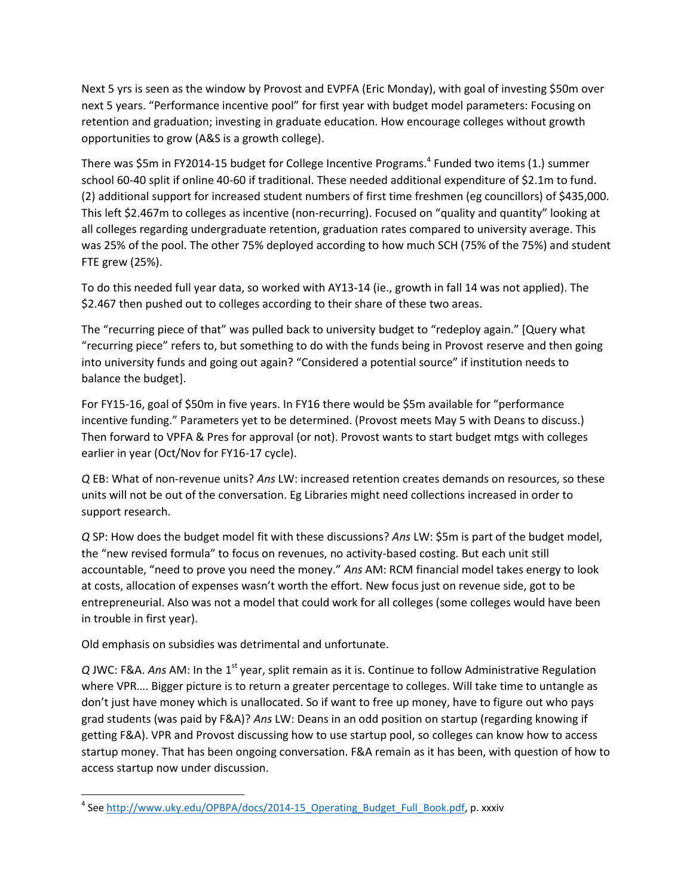Next 5 yrs is seen as the window by Provost and EVPFA (Eric Monday), with goal of investing \$50m over next 5 years. "Performance incentive pool" for first year with budget model parameters: Focusing on retention and graduation; investing in graduate education. How encourage colleges without growth opportunities to grow (A&S is a growth college).

There was \$5m in FY2014-15 budget for College Incentive Programs.<sup>4</sup> Funded two items (1.) summer school 60-40 split if online 40-60 if traditional. These needed additional expenditure of \$2.1m to fund. (2) additional support for increased student numbers of first time freshmen (eg councillors) of \$435,000. This left \$2.467m to colleges as incentive (non-recurring). Focused on "quality and quantity" looking at all colleges regarding undergraduate retention, graduation rates compared to university average. This was 25% of the pool. The other 75% deployed according to how much SCH (75% of the 75%) and student FTE grew (25%).

To do this needed full year data, so worked with AY13-14 (ie., growth in fall 14 was not applied). The \$2.467 then pushed out to colleges according to their share of these two areas.

The "recurring piece of that" was pulled back to university budget to "redeploy again." [Query what "recurring piece" refers to, but something to do with the funds being in Provost reserve and then going into university funds and going out again? "Considered a potential source" if institution needs to balance the budget].

For FY15-16, goal of \$50m in five years. In FY16 there would be \$5m available for "performance incentive funding." Parameters yet to be determined. (Provost meets May 5 with Deans to discuss.) Then forward to VPFA & Pres for approval (or not). Provost wants to start budget mtgs with colleges earlier in year (Oct/Nov for FY16-17 cycle).

*Q* EB: What of non-revenue units? *Ans* LW: increased retention creates demands on resources, so these units will not be out of the conversation. Eg Libraries might need collections increased in order to support research.

*Q* SP: How does the budget model fit with these discussions? *Ans* LW: \$5m is part of the budget model, the "new revised formula" to focus on revenues, no activity-based costing. But each unit still accountable, "need to prove you need the money." *Ans* AM: RCM financial model takes energy to look at costs, allocation of expenses wasn't worth the effort. New focus just on revenue side, got to be entrepreneurial. Also was not a model that could work for all colleges (some colleges would have been in trouble in first year).

Old emphasis on subsidies was detrimental and unfortunate.

 $\overline{\phantom{a}}$ 

Q JWC: F&A. Ans AM: In the 1<sup>st</sup> year, split remain as it is. Continue to follow Administrative Regulation where VPR…. Bigger picture is to return a greater percentage to colleges. Will take time to untangle as don't just have money which is unallocated. So if want to free up money, have to figure out who pays grad students (was paid by F&A)? *Ans* LW: Deans in an odd position on startup (regarding knowing if getting F&A). VPR and Provost discussing how to use startup pool, so colleges can know how to access startup money. That has been ongoing conversation. F&A remain as it has been, with question of how to access startup now under discussion.

<sup>&</sup>lt;sup>4</sup> See http://www.uky.edu/OPBPA/docs/2014-15 Operating\_Budget\_Full\_Book.pdf, p. xxxiv